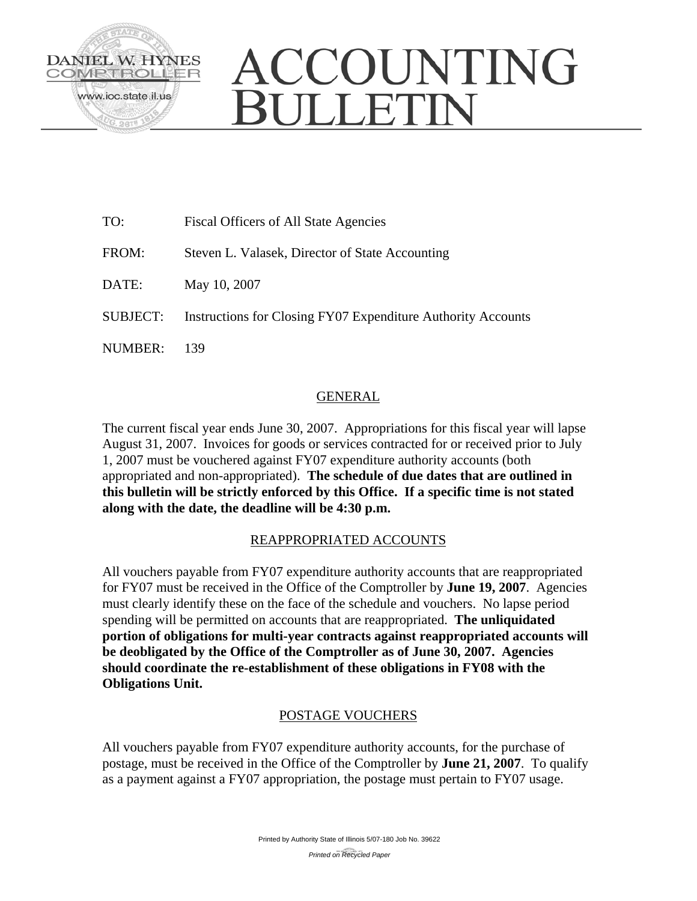

# ACCOUNTING **JULLETIN**

| TO:             | <b>Fiscal Officers of All State Agencies</b>                 |
|-----------------|--------------------------------------------------------------|
| FROM:           | Steven L. Valasek, Director of State Accounting              |
| DATE:           | May 10, 2007                                                 |
| <b>SUBJECT:</b> | Instructions for Closing FY07 Expenditure Authority Accounts |
| <b>NUMBER:</b>  | 139                                                          |

# GENERAL

The current fiscal year ends June 30, 2007. Appropriations for this fiscal year will lapse August 31, 2007. Invoices for goods or services contracted for or received prior to July 1, 2007 must be vouchered against FY07 expenditure authority accounts (both appropriated and non-appropriated). **The schedule of due dates that are outlined in this bulletin will be strictly enforced by this Office. If a specific time is not stated along with the date, the deadline will be 4:30 p.m.** 

## REAPPROPRIATED ACCOUNTS

All vouchers payable from FY07 expenditure authority accounts that are reappropriated for FY07 must be received in the Office of the Comptroller by **June 19, 2007**. Agencies must clearly identify these on the face of the schedule and vouchers. No lapse period spending will be permitted on accounts that are reappropriated. **The unliquidated portion of obligations for multi-year contracts against reappropriated accounts will be deobligated by the Office of the Comptroller as of June 30, 2007. Agencies should coordinate the re-establishment of these obligations in FY08 with the Obligations Unit.** 

## POSTAGE VOUCHERS

All vouchers payable from FY07 expenditure authority accounts, for the purchase of postage, must be received in the Office of the Comptroller by **June 21, 2007**. To qualify as a payment against a FY07 appropriation, the postage must pertain to FY07 usage.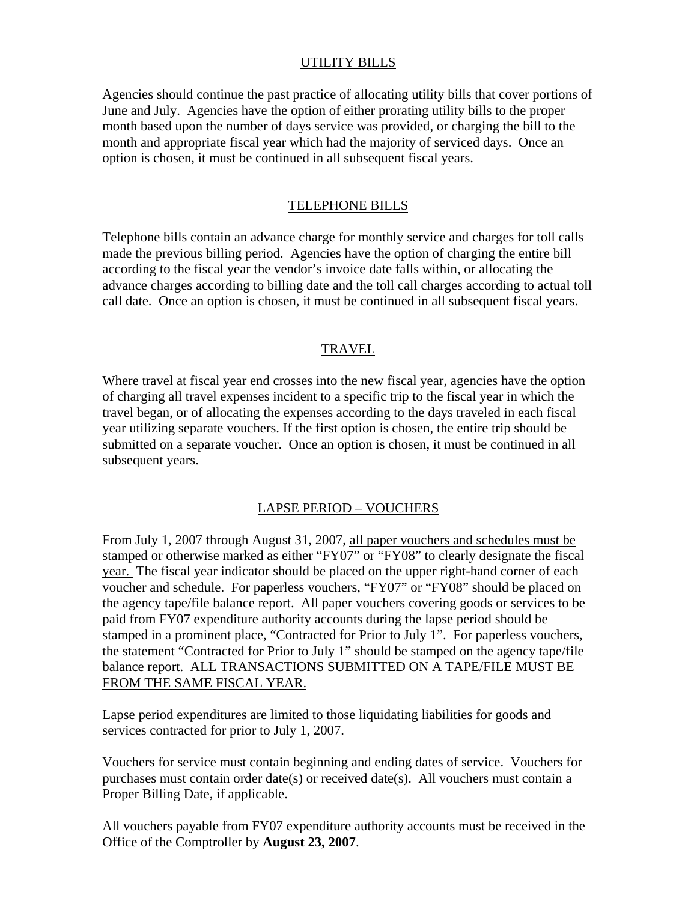## UTILITY BILLS

Agencies should continue the past practice of allocating utility bills that cover portions of June and July. Agencies have the option of either prorating utility bills to the proper month based upon the number of days service was provided, or charging the bill to the month and appropriate fiscal year which had the majority of serviced days. Once an option is chosen, it must be continued in all subsequent fiscal years.

#### TELEPHONE BILLS

Telephone bills contain an advance charge for monthly service and charges for toll calls made the previous billing period. Agencies have the option of charging the entire bill according to the fiscal year the vendor's invoice date falls within, or allocating the advance charges according to billing date and the toll call charges according to actual toll call date. Once an option is chosen, it must be continued in all subsequent fiscal years.

#### TRAVEL

Where travel at fiscal year end crosses into the new fiscal year, agencies have the option of charging all travel expenses incident to a specific trip to the fiscal year in which the travel began, or of allocating the expenses according to the days traveled in each fiscal year utilizing separate vouchers. If the first option is chosen, the entire trip should be submitted on a separate voucher. Once an option is chosen, it must be continued in all subsequent years.

## LAPSE PERIOD – VOUCHERS

From July 1, 2007 through August 31, 2007, all paper vouchers and schedules must be stamped or otherwise marked as either "FY07" or "FY08" to clearly designate the fiscal year. The fiscal year indicator should be placed on the upper right-hand corner of each voucher and schedule. For paperless vouchers, "FY07" or "FY08" should be placed on the agency tape/file balance report. All paper vouchers covering goods or services to be paid from FY07 expenditure authority accounts during the lapse period should be stamped in a prominent place, "Contracted for Prior to July 1". For paperless vouchers, the statement "Contracted for Prior to July 1" should be stamped on the agency tape/file balance report. ALL TRANSACTIONS SUBMITTED ON A TAPE/FILE MUST BE FROM THE SAME FISCAL YEAR.

Lapse period expenditures are limited to those liquidating liabilities for goods and services contracted for prior to July 1, 2007.

Vouchers for service must contain beginning and ending dates of service. Vouchers for purchases must contain order date(s) or received date(s). All vouchers must contain a Proper Billing Date, if applicable.

All vouchers payable from FY07 expenditure authority accounts must be received in the Office of the Comptroller by **August 23, 2007**.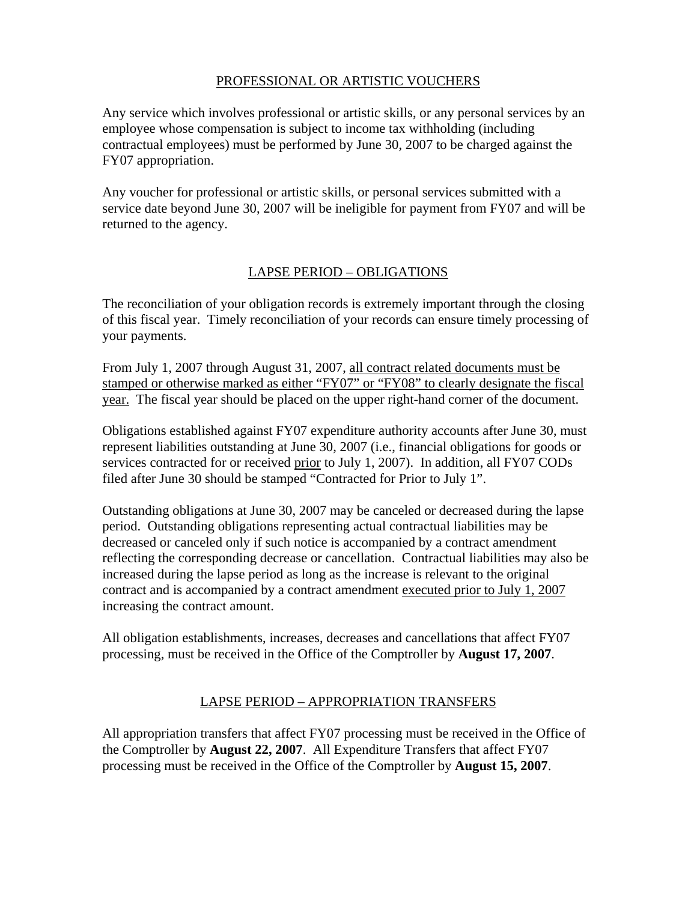## PROFESSIONAL OR ARTISTIC VOUCHERS

Any service which involves professional or artistic skills, or any personal services by an employee whose compensation is subject to income tax withholding (including contractual employees) must be performed by June 30, 2007 to be charged against the FY07 appropriation.

Any voucher for professional or artistic skills, or personal services submitted with a service date beyond June 30, 2007 will be ineligible for payment from FY07 and will be returned to the agency.

# LAPSE PERIOD – OBLIGATIONS

The reconciliation of your obligation records is extremely important through the closing of this fiscal year. Timely reconciliation of your records can ensure timely processing of your payments.

From July 1, 2007 through August 31, 2007, all contract related documents must be stamped or otherwise marked as either "FY07" or "FY08" to clearly designate the fiscal year. The fiscal year should be placed on the upper right-hand corner of the document.

Obligations established against FY07 expenditure authority accounts after June 30, must represent liabilities outstanding at June 30, 2007 (i.e., financial obligations for goods or services contracted for or received prior to July 1, 2007). In addition, all FY07 CODs filed after June 30 should be stamped "Contracted for Prior to July 1".

Outstanding obligations at June 30, 2007 may be canceled or decreased during the lapse period. Outstanding obligations representing actual contractual liabilities may be decreased or canceled only if such notice is accompanied by a contract amendment reflecting the corresponding decrease or cancellation. Contractual liabilities may also be increased during the lapse period as long as the increase is relevant to the original contract and is accompanied by a contract amendment executed prior to July 1, 2007 increasing the contract amount.

All obligation establishments, increases, decreases and cancellations that affect FY07 processing, must be received in the Office of the Comptroller by **August 17, 2007**.

# LAPSE PERIOD – APPROPRIATION TRANSFERS

All appropriation transfers that affect FY07 processing must be received in the Office of the Comptroller by **August 22, 2007**. All Expenditure Transfers that affect FY07 processing must be received in the Office of the Comptroller by **August 15, 2007**.